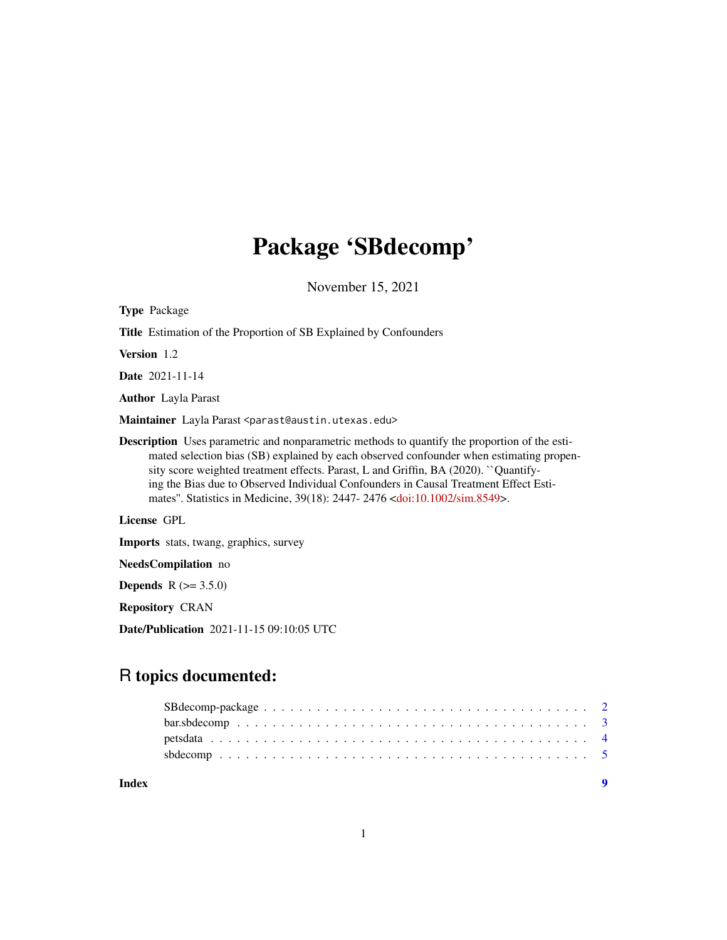# Package 'SBdecomp'

November 15, 2021

| <b>Type</b> Package                                                                                                                                                                                                                                                                                                                                                                                                                                                          |
|------------------------------------------------------------------------------------------------------------------------------------------------------------------------------------------------------------------------------------------------------------------------------------------------------------------------------------------------------------------------------------------------------------------------------------------------------------------------------|
| <b>Title</b> Estimation of the Proportion of SB Explained by Confounders                                                                                                                                                                                                                                                                                                                                                                                                     |
| <b>Version</b> 1.2                                                                                                                                                                                                                                                                                                                                                                                                                                                           |
| <b>Date</b> 2021-11-14                                                                                                                                                                                                                                                                                                                                                                                                                                                       |
| <b>Author</b> Layla Parast                                                                                                                                                                                                                                                                                                                                                                                                                                                   |
| Maintainer Layla Parast <parast@austin.utexas.edu></parast@austin.utexas.edu>                                                                                                                                                                                                                                                                                                                                                                                                |
| <b>Description</b> Uses parametric and nonparametric methods to quantify the proportion of the esti-<br>mated selection bias (SB) explained by each observed confounder when estimating propen-<br>sity score weighted treatment effects. Parast, L and Griffin, BA (2020). "Quantify-<br>ing the Bias due to Observed Individual Confounders in Causal Treatment Effect Esti-<br>mates". Statistics in Medicine, 39(18): 2447-2476 <doi:10.1002 sim.8549="">.</doi:10.1002> |
| License GPL                                                                                                                                                                                                                                                                                                                                                                                                                                                                  |
| <b>Imports</b> stats, twang, graphics, survey                                                                                                                                                                                                                                                                                                                                                                                                                                |
| NeedsCompilation no                                                                                                                                                                                                                                                                                                                                                                                                                                                          |

**Depends**  $R (= 3.5.0)$ 

Repository CRAN

Date/Publication 2021-11-15 09:10:05 UTC

# R topics documented: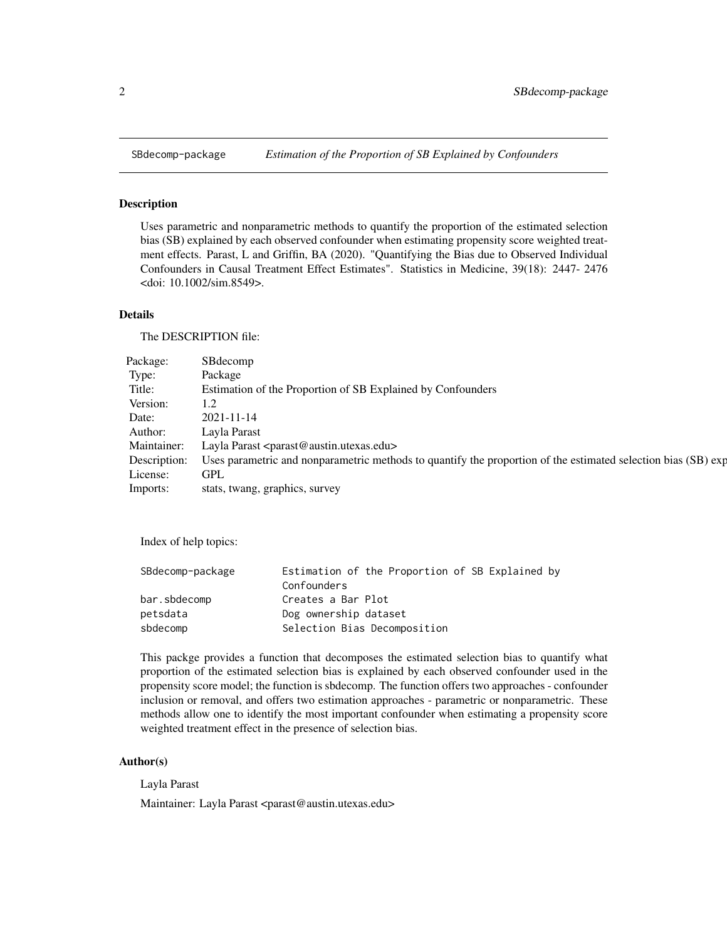<span id="page-1-0"></span>

#### Description

Uses parametric and nonparametric methods to quantify the proportion of the estimated selection bias (SB) explained by each observed confounder when estimating propensity score weighted treatment effects. Parast, L and Griffin, BA (2020). "Quantifying the Bias due to Observed Individual Confounders in Causal Treatment Effect Estimates". Statistics in Medicine, 39(18): 2447- 2476 <doi: 10.1002/sim.8549>.

### Details

The DESCRIPTION file:

| Package: | SBdecomp                                                                                                                   |  |
|----------|----------------------------------------------------------------------------------------------------------------------------|--|
| Type:    | Package                                                                                                                    |  |
| Title:   | Estimation of the Proportion of SB Explained by Confounders                                                                |  |
| Version: |                                                                                                                            |  |
| Date:    | 2021-11-14                                                                                                                 |  |
| Author:  | Layla Parast                                                                                                               |  |
|          | Maintainer: Layla Parast <parast@austin.utexas.edu></parast@austin.utexas.edu>                                             |  |
|          | Description: Uses parametric and nonparametric methods to quantify the proportion of the estimated selection bias (SB) exp |  |
| License: | GPL                                                                                                                        |  |
| Imports: | stats, twang, graphics, survey                                                                                             |  |

Index of help topics:

| SBdecomp-package | Estimation of the Proportion of SB Explained by |
|------------------|-------------------------------------------------|
|                  | Confounders                                     |
| bar.sbdecomp     | Creates a Bar Plot                              |
| petsdata         | Dog ownership dataset                           |
| sbdecomp         | Selection Bias Decomposition                    |

This packge provides a function that decomposes the estimated selection bias to quantify what proportion of the estimated selection bias is explained by each observed confounder used in the propensity score model; the function is sbdecomp. The function offers two approaches - confounder inclusion or removal, and offers two estimation approaches - parametric or nonparametric. These methods allow one to identify the most important confounder when estimating a propensity score weighted treatment effect in the presence of selection bias.

#### Author(s)

Layla Parast

Maintainer: Layla Parast <parast@austin.utexas.edu>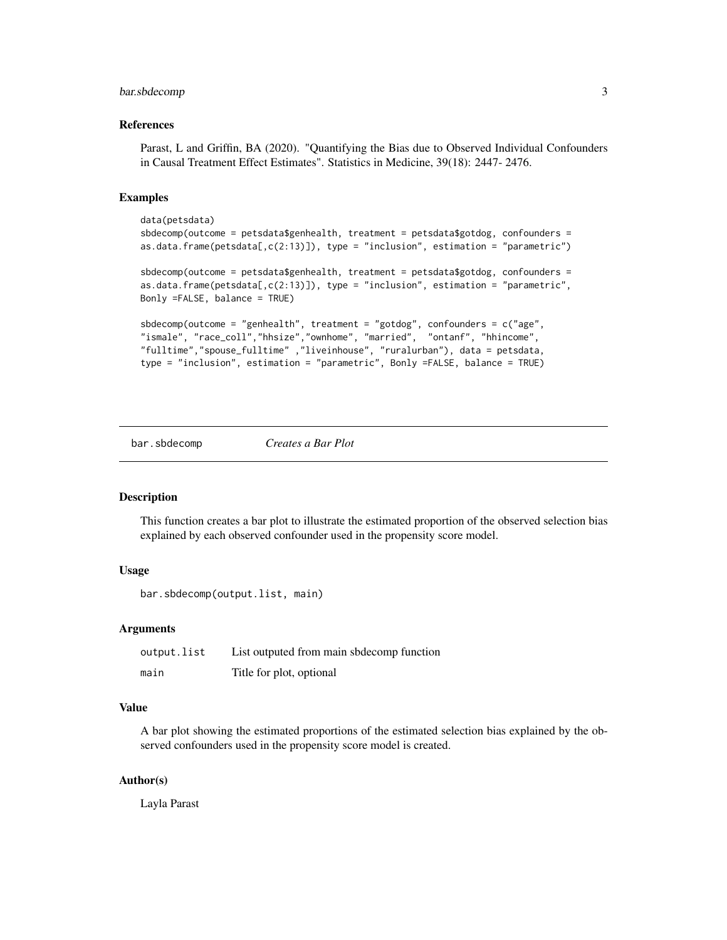### <span id="page-2-0"></span>bar.sbdecomp 3

#### References

Parast, L and Griffin, BA (2020). "Quantifying the Bias due to Observed Individual Confounders in Causal Treatment Effect Estimates". Statistics in Medicine, 39(18): 2447- 2476.

#### Examples

```
data(petsdata)
sbdecomp(outcome = petsdata$genhealth, treatment = petsdata$gotdog, confounders =
as.data frame(petsdata[, c(2:13)]), type = "inclusion", estimation = "parametric")
sbdecomp(outcome = petsdata$genhealth, treatment = petsdata$gotdog, confounders =
as.data.frame(petsdata[,c(2:13)]), type = "inclusion", estimation = "parametric",
Bonly =FALSE, balance = TRUE)
sbdecomp(outcome = "genhealth", treatment = "gotdog", confounders = c("age",
"ismale", "race_coll","hhsize","ownhome", "married", "ontanf", "hhincome",
"fulltime","spouse_fulltime" ,"liveinhouse", "ruralurban"), data = petsdata,
type = "inclusion", estimation = "parametric", Bonly =FALSE, balance = TRUE)
```
bar.sbdecomp *Creates a Bar Plot*

#### **Description**

This function creates a bar plot to illustrate the estimated proportion of the observed selection bias explained by each observed confounder used in the propensity score model.

#### Usage

```
bar.sbdecomp(output.list, main)
```
#### Arguments

| output.list | List outputed from main sbdecomp function |
|-------------|-------------------------------------------|
| main        | Title for plot, optional                  |

#### Value

A bar plot showing the estimated proportions of the estimated selection bias explained by the observed confounders used in the propensity score model is created.

#### Author(s)

Layla Parast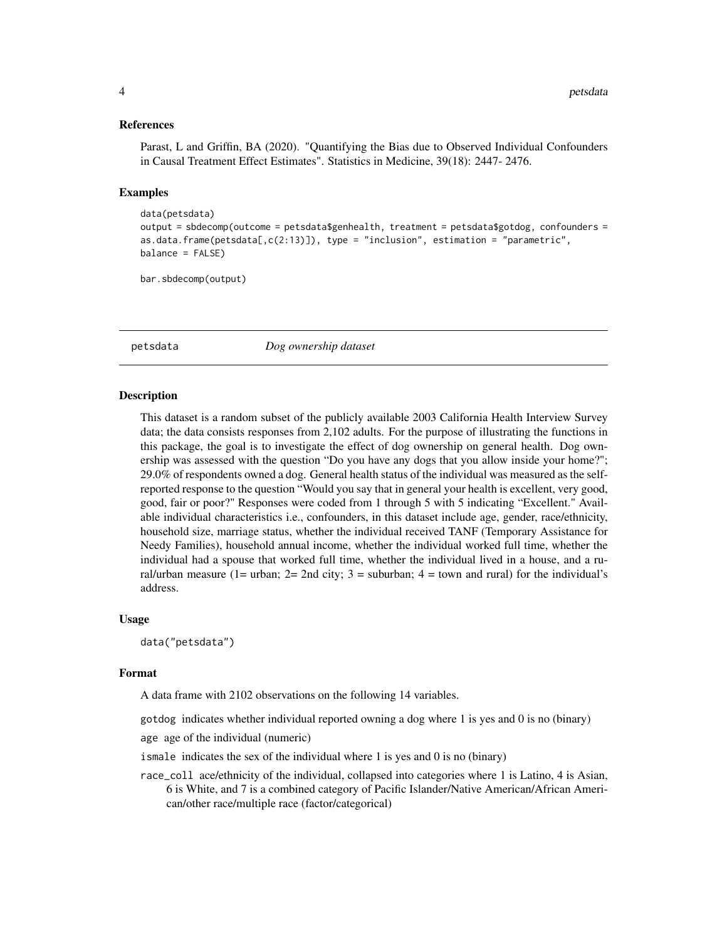#### References

Parast, L and Griffin, BA (2020). "Quantifying the Bias due to Observed Individual Confounders in Causal Treatment Effect Estimates". Statistics in Medicine, 39(18): 2447- 2476.

#### Examples

```
data(petsdata)
output = sbdecomp(outcome = petsdata$genhealth, treatment = petsdata$gotdog, confounders =
as.data.fname(petsdata[, c(2:13)]), type = "inclusion", estimation = "parametric",
balance = FALSE)
```
bar.sbdecomp(output)

petsdata *Dog ownership dataset*

#### Description

This dataset is a random subset of the publicly available 2003 California Health Interview Survey data; the data consists responses from 2,102 adults. For the purpose of illustrating the functions in this package, the goal is to investigate the effect of dog ownership on general health. Dog ownership was assessed with the question "Do you have any dogs that you allow inside your home?"; 29.0% of respondents owned a dog. General health status of the individual was measured as the selfreported response to the question "Would you say that in general your health is excellent, very good, good, fair or poor?" Responses were coded from 1 through 5 with 5 indicating "Excellent." Available individual characteristics i.e., confounders, in this dataset include age, gender, race/ethnicity, household size, marriage status, whether the individual received TANF (Temporary Assistance for Needy Families), household annual income, whether the individual worked full time, whether the individual had a spouse that worked full time, whether the individual lived in a house, and a rural/urban measure (1= urban;  $2=2$ nd city;  $3=$  suburban;  $4=$  town and rural) for the individual's address.

#### Usage

data("petsdata")

#### Format

A data frame with 2102 observations on the following 14 variables.

gotdog indicates whether individual reported owning a dog where 1 is yes and 0 is no (binary)

age age of the individual (numeric)

ismale indicates the sex of the individual where 1 is yes and 0 is no (binary)

race\_coll ace/ethnicity of the individual, collapsed into categories where 1 is Latino, 4 is Asian, 6 is White, and 7 is a combined category of Pacific Islander/Native American/African American/other race/multiple race (factor/categorical)

<span id="page-3-0"></span>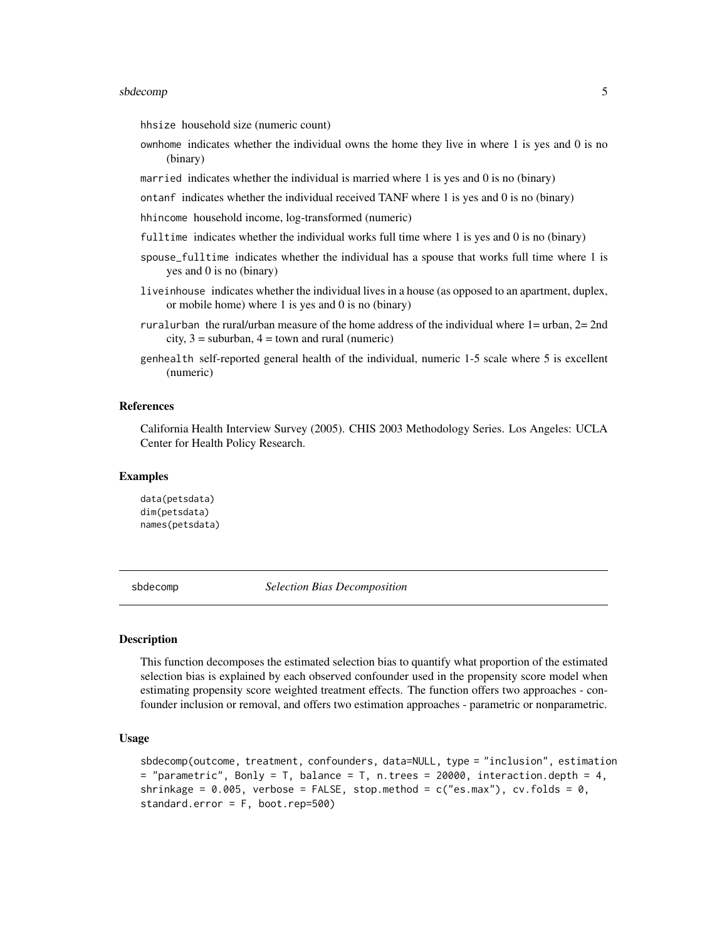#### <span id="page-4-0"></span>sbdecomp 5

hhsize household size (numeric count)

- ownhome indicates whether the individual owns the home they live in where 1 is yes and 0 is no (binary)
- married indicates whether the individual is married where 1 is yes and 0 is no (binary)
- ontanf indicates whether the individual received TANF where 1 is yes and 0 is no (binary)
- hhincome household income, log-transformed (numeric)
- fulltime indicates whether the individual works full time where 1 is yes and 0 is no (binary)
- spouse\_fulltime indicates whether the individual has a spouse that works full time where 1 is yes and 0 is no (binary)
- liveinhouse indicates whether the individual lives in a house (as opposed to an apartment, duplex, or mobile home) where 1 is yes and 0 is no (binary)
- ruralurban the rural/urban measure of the home address of the individual where 1= urban, 2= 2nd  $city, 3 = suburban, 4 = town and rural (numeric)$
- genhealth self-reported general health of the individual, numeric 1-5 scale where 5 is excellent (numeric)

#### References

California Health Interview Survey (2005). CHIS 2003 Methodology Series. Los Angeles: UCLA Center for Health Policy Research.

#### Examples

```
data(petsdata)
dim(petsdata)
names(petsdata)
```
sbdecomp *Selection Bias Decomposition*

#### Description

This function decomposes the estimated selection bias to quantify what proportion of the estimated selection bias is explained by each observed confounder used in the propensity score model when estimating propensity score weighted treatment effects. The function offers two approaches - confounder inclusion or removal, and offers two estimation approaches - parametric or nonparametric.

#### Usage

```
sbdecomp(outcome, treatment, confounders, data=NULL, type = "inclusion", estimation
= "parametric", Bonly = T, balance = T, n.trees = 20000, interaction.depth = 4,
shrinkage = 0.005, verbose = FALSE, stop.method = c("es.max"), cv.folds = 0,
standard.error = F, boot.rep=500)
```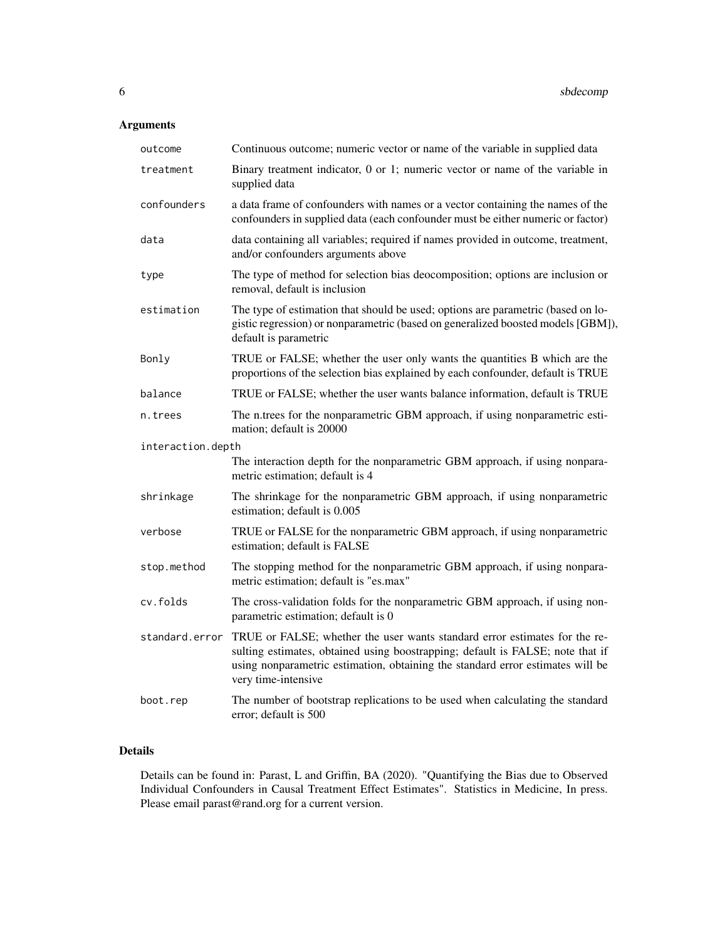# Arguments

| outcome           | Continuous outcome; numeric vector or name of the variable in supplied data                                                                                                                                                                                           |
|-------------------|-----------------------------------------------------------------------------------------------------------------------------------------------------------------------------------------------------------------------------------------------------------------------|
| treatment         | Binary treatment indicator, 0 or 1; numeric vector or name of the variable in<br>supplied data                                                                                                                                                                        |
| confounders       | a data frame of confounders with names or a vector containing the names of the<br>confounders in supplied data (each confounder must be either numeric or factor)                                                                                                     |
| data              | data containing all variables; required if names provided in outcome, treatment,<br>and/or confounders arguments above                                                                                                                                                |
| type              | The type of method for selection bias deocomposition; options are inclusion or<br>removal, default is inclusion                                                                                                                                                       |
| estimation        | The type of estimation that should be used; options are parametric (based on lo-<br>gistic regression) or nonparametric (based on generalized boosted models [GBM]),<br>default is parametric                                                                         |
| Bonly             | TRUE or FALSE; whether the user only wants the quantities B which are the<br>proportions of the selection bias explained by each confounder, default is TRUE                                                                                                          |
| balance           | TRUE or FALSE; whether the user wants balance information, default is TRUE                                                                                                                                                                                            |
| n.trees           | The n.trees for the nonparametric GBM approach, if using nonparametric esti-<br>mation; default is 20000                                                                                                                                                              |
| interaction.depth |                                                                                                                                                                                                                                                                       |
|                   | The interaction depth for the nonparametric GBM approach, if using nonpara-<br>metric estimation; default is 4                                                                                                                                                        |
| shrinkage         | The shrinkage for the nonparametric GBM approach, if using nonparametric<br>estimation; default is 0.005                                                                                                                                                              |
| verbose           | TRUE or FALSE for the nonparametric GBM approach, if using nonparametric<br>estimation; default is FALSE                                                                                                                                                              |
| stop.method       | The stopping method for the nonparametric GBM approach, if using nonpara-<br>metric estimation; default is "es.max"                                                                                                                                                   |
| cv.folds          | The cross-validation folds for the nonparametric GBM approach, if using non-<br>parametric estimation; default is 0                                                                                                                                                   |
| standard.error    | TRUE or FALSE; whether the user wants standard error estimates for the re-<br>sulting estimates, obtained using boostrapping; default is FALSE; note that if<br>using nonparametric estimation, obtaining the standard error estimates will be<br>very time-intensive |
| boot.rep          | The number of bootstrap replications to be used when calculating the standard<br>error; default is 500                                                                                                                                                                |

# Details

Details can be found in: Parast, L and Griffin, BA (2020). "Quantifying the Bias due to Observed Individual Confounders in Causal Treatment Effect Estimates". Statistics in Medicine, In press. Please email parast@rand.org for a current version.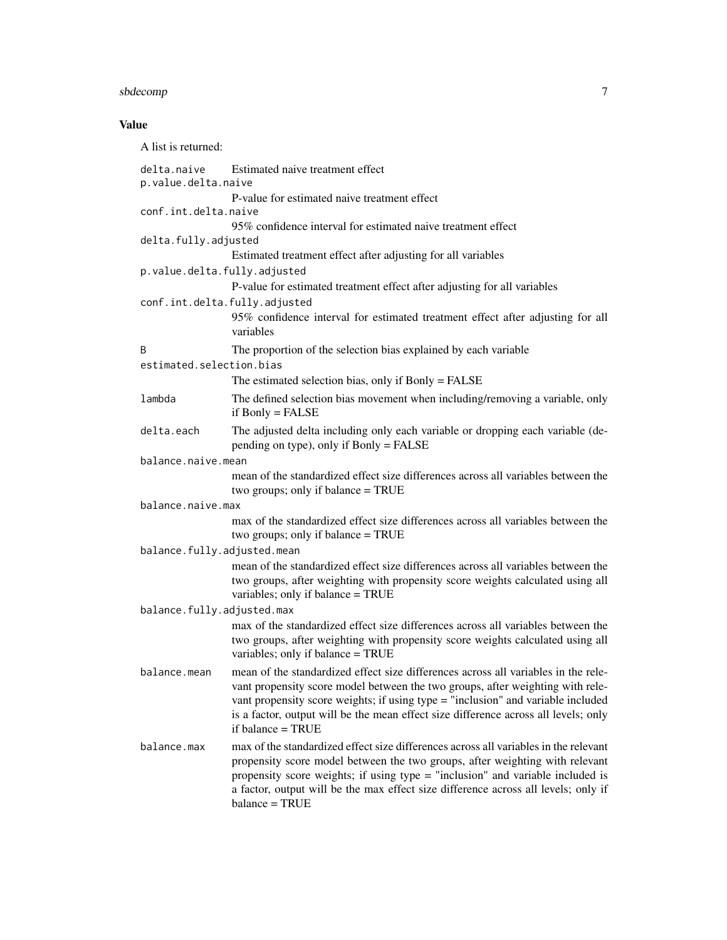# sbdecomp 7

# Value

| A list is returned:                |                                                                                                                                                                                                                                                                                                                                                                      |
|------------------------------------|----------------------------------------------------------------------------------------------------------------------------------------------------------------------------------------------------------------------------------------------------------------------------------------------------------------------------------------------------------------------|
| delta.naive<br>p.value.delta.naive | Estimated naive treatment effect                                                                                                                                                                                                                                                                                                                                     |
| conf.int.delta.naive               | P-value for estimated naive treatment effect                                                                                                                                                                                                                                                                                                                         |
| delta.fully.adjusted               | 95% confidence interval for estimated naive treatment effect<br>Estimated treatment effect after adjusting for all variables                                                                                                                                                                                                                                         |
| p.value.delta.fully.adjusted       | P-value for estimated treatment effect after adjusting for all variables                                                                                                                                                                                                                                                                                             |
| conf.int.delta.fully.adjusted      | 95% confidence interval for estimated treatment effect after adjusting for all<br>variables                                                                                                                                                                                                                                                                          |
| B<br>estimated.selection.bias      | The proportion of the selection bias explained by each variable                                                                                                                                                                                                                                                                                                      |
|                                    | The estimated selection bias, only if Bonly = FALSE                                                                                                                                                                                                                                                                                                                  |
| lambda                             | The defined selection bias movement when including/removing a variable, only<br>if $B only = FALSE$                                                                                                                                                                                                                                                                  |
| delta.each                         | The adjusted delta including only each variable or dropping each variable (de-<br>pending on type), only if Bonly = FALSE                                                                                                                                                                                                                                            |
| balance.naive.mean                 |                                                                                                                                                                                                                                                                                                                                                                      |
|                                    | mean of the standardized effect size differences across all variables between the<br>two groups; only if balance = TRUE                                                                                                                                                                                                                                              |
| balance.naive.max                  |                                                                                                                                                                                                                                                                                                                                                                      |
|                                    | max of the standardized effect size differences across all variables between the<br>two groups; only if balance = TRUE                                                                                                                                                                                                                                               |
| balance.fully.adjusted.mean        |                                                                                                                                                                                                                                                                                                                                                                      |
|                                    | mean of the standardized effect size differences across all variables between the<br>two groups, after weighting with propensity score weights calculated using all<br>variables; only if balance = TRUE                                                                                                                                                             |
| balance.fully.adjusted.max         |                                                                                                                                                                                                                                                                                                                                                                      |
|                                    | max of the standardized effect size differences across all variables between the<br>two groups, after weighting with propensity score weights calculated using all<br>variables; only if balance = TRUE                                                                                                                                                              |
| balance.mean                       | mean of the standardized effect size differences across all variables in the rele-<br>vant propensity score model between the two groups, after weighting with rele-<br>vant propensity score weights; if using type = "inclusion" and variable included<br>is a factor, output will be the mean effect size difference across all levels; only<br>if balance = TRUE |
| balance.max                        | max of the standardized effect size differences across all variables in the relevant<br>propensity score model between the two groups, after weighting with relevant<br>propensity score weights; if using type = "inclusion" and variable included is<br>a factor, output will be the max effect size difference across all levels; only if<br>balance = TRUE       |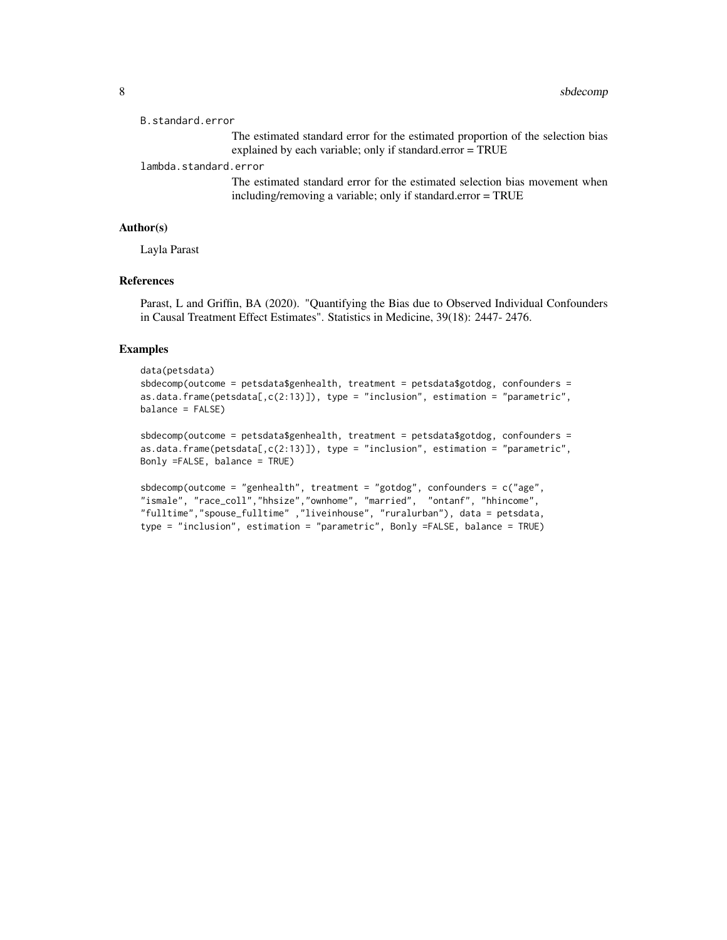```
B.standard.error
```
The estimated standard error for the estimated proportion of the selection bias explained by each variable; only if standard.error = TRUE

lambda.standard.error

The estimated standard error for the estimated selection bias movement when including/removing a variable; only if standard.error = TRUE

#### Author(s)

Layla Parast

#### References

Parast, L and Griffin, BA (2020). "Quantifying the Bias due to Observed Individual Confounders in Causal Treatment Effect Estimates". Statistics in Medicine, 39(18): 2447- 2476.

#### Examples

```
data(petsdata)
sbdecomp(outcome = petsdata$genhealth, treatment = petsdata$gotdog, confounders =
as.data.frame(petsdata[,c(2:13)]), type = "inclusion", estimation = "parametric",
balance = FALSE)
```

```
sbdecomp(outcome = petsdata$genhealth, treatment = petsdata$gotdog, confounders =
as.data.frame(petsdata[,c(2:13)]), type = "inclusion", estimation = "parametric",
Bonly =FALSE, balance = TRUE)
```

```
sbdecomp(outcome = "genhealth", treatment = "gotdog", confounders = c("age",
"ismale", "race_coll","hhsize","ownhome", "married", "ontanf", "hhincome",
"fulltime","spouse_fulltime" ,"liveinhouse", "ruralurban"), data = petsdata,
type = "inclusion", estimation = "parametric", Bonly =FALSE, balance = TRUE)
```